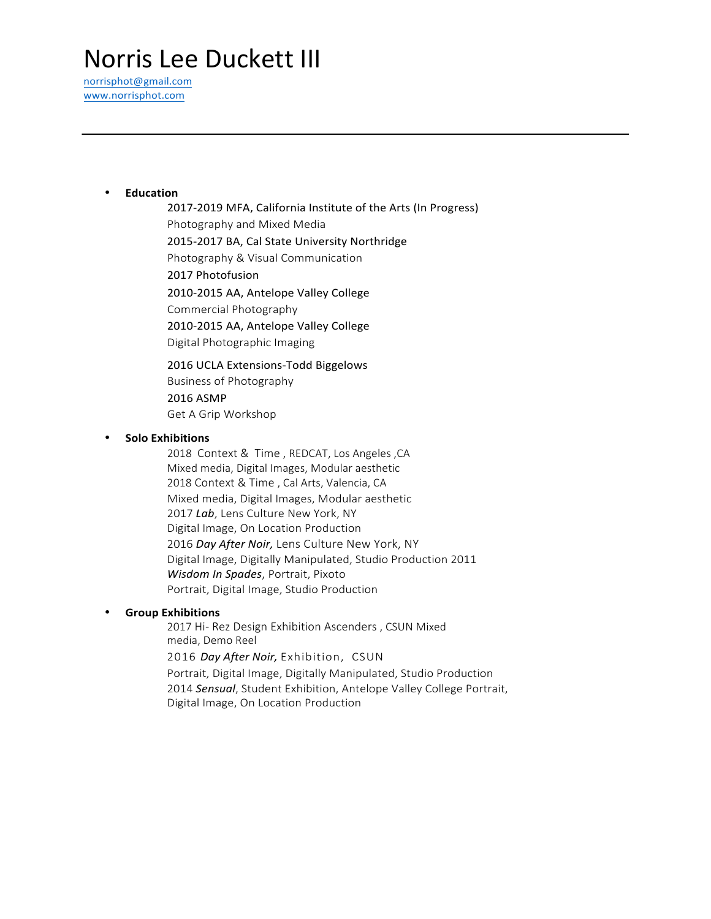# **Norris Lee Duckett III**

norrisphot@gmail.com www.norrisphot.com

#### • **Education**

2017-2019 MFA, California Institute of the Arts (In Progress) Photography and Mixed Media 2015-2017 BA, Cal State University Northridge Photography & Visual Communication 2017 Photofusion 2010-2015 AA, Antelope Valley College Commercial Photography 2010-2015 AA, Antelope Valley College Digital Photographic Imaging

2016 UCLA Extensions-Todd Biggelows Business of Photography 2016 ASMP Get A Grip Workshop

### • **Solo Exhibitions**

2018 Context & Time , REDCAT, Los Angeles ,CA Mixed media, Digital Images, Modular aesthetic 2018 Context & Time , Cal Arts, Valencia, CA Mixed media, Digital Images, Modular aesthetic 2017 *Lab*, Lens Culture New York, NY Digital Image, On Location Production 2016 *Day After Noir,* Lens Culture New York, NY Digital Image, Digitally Manipulated, Studio Production 2011 *Wisdom In Spades*, Portrait, Pixoto Portrait, Digital Image, Studio Production

# • **Group Exhibitions**

2017 Hi- Rez Design Exhibition Ascenders , CSUN Mixed media, Demo Reel

2016 *Day After Noir,* Exhibition, CSUN

Portrait, Digital Image, Digitally Manipulated, Studio Production 2014 *Sensual*, Student Exhibition, Antelope Valley College Portrait, Digital Image, On Location Production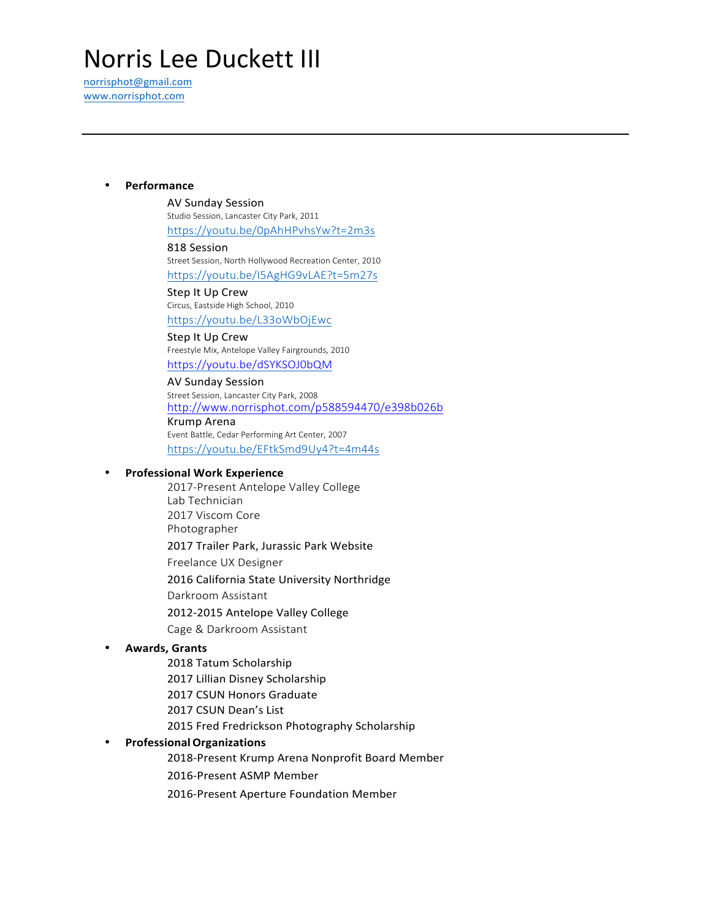# **Norris Lee Duckett III**

norrisphot@gmail.com www.norrisphot.com

#### • **Performance**

#### AV Sunday Session

Studio Session, Lancaster City Park, 2011 https://youtu.be/0pAhHPvhsYw?t=2m3s

#### 818 Session

Street Session, North Hollywood Recreation Center, 2010 https://youtu.be/I5AgHG9vLAE?t=5m27s

Step It Up Crew Circus, Eastside High School, 2010 https://youtu.be/L33oWbOjEwc

# Step It Up Crew

Freestyle Mix, Antelope Valley Fairgrounds, 2010 https://youtu.be/dSYKSOJ0bQM

AV Sunday Session Street Session, Lancaster City Park, 2008 http://www.norrisphot.com/p588594470/e398b026b Krump Arena Event Battle, Cedar Performing Art Center, 2007 https://youtu.be/EFtkSmd9Uy4?t=4m44s

#### • **Professional Work Experience**

2017-Present Antelope Valley College Lab Technician 2017 Viscom Core Photographer 2017 Trailer Park, Jurassic Park Website Freelance UX Designer 2016 California State University Northridge Darkroom Assistant

2012-2015 Antelope Valley College

Cage & Darkroom Assistant

#### • **Awards, Grants**

2018 Tatum Scholarship

2017 Lillian Disney Scholarship

2017 CSUN Honors Graduate

2017 CSUN Dean's List

2015 Fred Fredrickson Photography Scholarship

#### • **ProfessionalOrganizations**

2018-Present Krump Arena Nonprofit Board Member

2016-Present ASMP Member

2016-Present Aperture Foundation Member